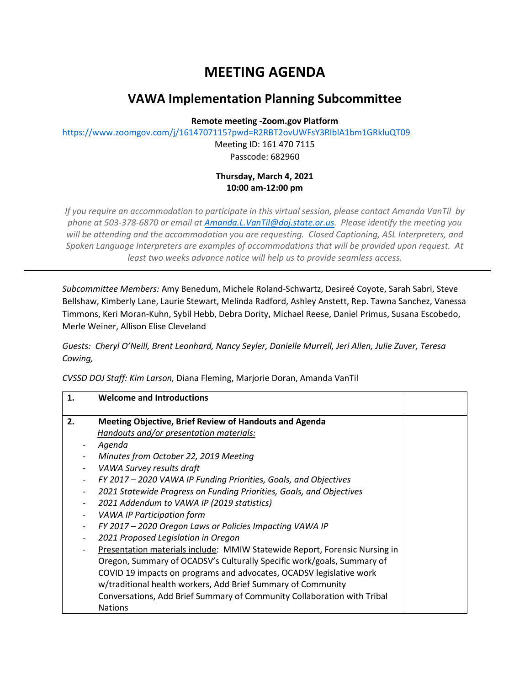## **MEETING AGENDA**

## **VAWA Implementation Planning Subcommittee**

**Remote meeting -Zoom.gov Platform**

https://www.zoomgov.com/j/1614707115?pwd=R2RBT2ovUWFsY3RlblA1bm1GRkluQT09

Meeting ID: 161 470 7115 Passcode: 682960

## **Thursday, March 4, 2021 10:00 am-12:00 pm**

*If you require an accommodation to participate in this virtual session, please contact Amanda VanTil by phone at 503-378-6870 or email at Amanda.L.VanTil@doj.state.or.us. Please identify the meeting you will be attending and the accommodation you are requesting. Closed Captioning, ASL Interpreters, and Spoken Language Interpreters are examples of accommodations that will be provided upon request. At least two weeks advance notice will help us to provide seamless access.*

*Subcommittee Members:* Amy Benedum, Michele Roland-Schwartz, Desireé Coyote, Sarah Sabri, Steve Bellshaw, Kimberly Lane, Laurie Stewart, Melinda Radford, Ashley Anstett, Rep. Tawna Sanchez, Vanessa Timmons, Keri Moran-Kuhn, Sybil Hebb, Debra Dority, Michael Reese, Daniel Primus, Susana Escobedo, Merle Weiner, Allison Elise Cleveland

*Guests: Cheryl O'Neill, Brent Leonhard, Nancy Seyler, Danielle Murrell, Jeri Allen, Julie Zuver, Teresa Cowing,*

*CVSSD DOJ Staff: Kim Larson,* Diana Fleming, Marjorie Doran, Amanda VanTil

| 1. | <b>Welcome and Introductions</b>                                           |  |
|----|----------------------------------------------------------------------------|--|
| 2. | <b>Meeting Objective, Brief Review of Handouts and Agenda</b>              |  |
|    | Handouts and/or presentation materials:                                    |  |
|    | Agenda                                                                     |  |
|    | Minutes from October 22, 2019 Meeting                                      |  |
|    | VAWA Survey results draft                                                  |  |
|    | FY 2017 - 2020 VAWA IP Funding Priorities, Goals, and Objectives           |  |
|    | 2021 Statewide Progress on Funding Priorities, Goals, and Objectives       |  |
|    | 2021 Addendum to VAWA IP (2019 statistics)                                 |  |
|    | <b>VAWA IP Participation form</b>                                          |  |
|    | FY 2017 - 2020 Oregon Laws or Policies Impacting VAWA IP                   |  |
|    | 2021 Proposed Legislation in Oregon                                        |  |
|    | Presentation materials include: MMIW Statewide Report, Forensic Nursing in |  |
|    | Oregon, Summary of OCADSV's Culturally Specific work/goals, Summary of     |  |
|    | COVID 19 impacts on programs and advocates, OCADSV legislative work        |  |
|    | w/traditional health workers, Add Brief Summary of Community               |  |
|    | Conversations, Add Brief Summary of Community Collaboration with Tribal    |  |
|    | <b>Nations</b>                                                             |  |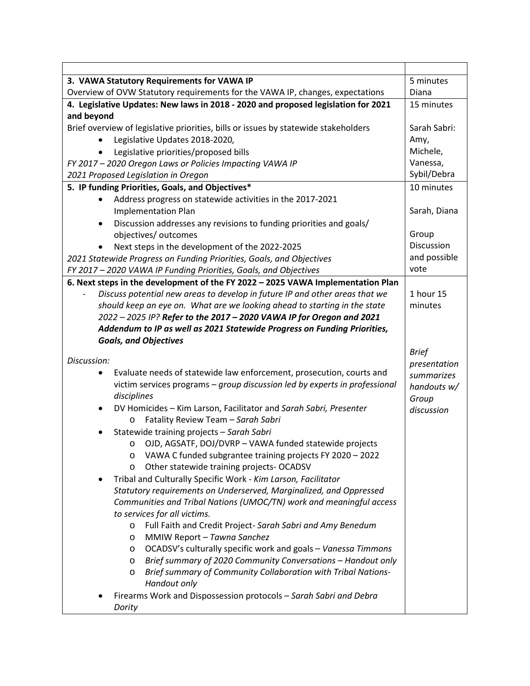| 3. VAWA Statutory Requirements for VAWA IP                                          | 5 minutes                  |
|-------------------------------------------------------------------------------------|----------------------------|
| Overview of OVW Statutory requirements for the VAWA IP, changes, expectations       | Diana                      |
| 4. Legislative Updates: New laws in 2018 - 2020 and proposed legislation for 2021   | 15 minutes                 |
| and beyond                                                                          |                            |
| Brief overview of legislative priorities, bills or issues by statewide stakeholders | Sarah Sabri:               |
| Legislative Updates 2018-2020,                                                      | Amy,                       |
| Legislative priorities/proposed bills                                               | Michele,                   |
| FY 2017 - 2020 Oregon Laws or Policies Impacting VAWA IP                            | Vanessa,                   |
| 2021 Proposed Legislation in Oregon                                                 | Sybil/Debra                |
| 5. IP funding Priorities, Goals, and Objectives*                                    | 10 minutes                 |
| Address progress on statewide activities in the 2017-2021<br>$\bullet$              |                            |
| <b>Implementation Plan</b>                                                          | Sarah, Diana               |
| Discussion addresses any revisions to funding priorities and goals/<br>$\bullet$    |                            |
| objectives/ outcomes                                                                | Group                      |
| Next steps in the development of the 2022-2025                                      | Discussion<br>and possible |
| 2021 Statewide Progress on Funding Priorities, Goals, and Objectives                | vote                       |
| FY 2017 - 2020 VAWA IP Funding Priorities, Goals, and Objectives                    |                            |
| 6. Next steps in the development of the FY 2022 - 2025 VAWA Implementation Plan     |                            |
| Discuss potential new areas to develop in future IP and other areas that we         | 1 hour 15                  |
| should keep an eye on. What are we looking ahead to starting in the state           | minutes                    |
| 2022 - 2025 IP? Refer to the 2017 - 2020 VAWA IP for Oregon and 2021                |                            |
| Addendum to IP as well as 2021 Statewide Progress on Funding Priorities,            |                            |
| <b>Goals, and Objectives</b>                                                        | <b>Brief</b>               |
| Discussion:                                                                         | presentation               |
| Evaluate needs of statewide law enforcement, prosecution, courts and                | summarizes                 |
| victim services programs - group discussion led by experts in professional          | handouts w/                |
| disciplines                                                                         | Group                      |
| DV Homicides - Kim Larson, Facilitator and Sarah Sabri, Presenter<br>٠              | discussion                 |
| Fatality Review Team - Sarah Sabri<br>O                                             |                            |
| Statewide training projects - Sarah Sabri<br>$\bullet$                              |                            |
| OJD, AGSATF, DOJ/DVRP - VAWA funded statewide projects<br>$\circ$                   |                            |
| VAWA C funded subgrantee training projects FY 2020 - 2022                           |                            |
| Other statewide training projects- OCADSV<br>O                                      |                            |
| Tribal and Culturally Specific Work - Kim Larson, Facilitator                       |                            |
| Statutory requirements on Underserved, Marginalized, and Oppressed                  |                            |
| Communities and Tribal Nations (UMOC/TN) work and meaningful access                 |                            |
| to services for all victims.                                                        |                            |
| Full Faith and Credit Project- Sarah Sabri and Amy Benedum<br>$\circ$               |                            |
| MMIW Report - Tawna Sanchez<br>O                                                    |                            |
| OCADSV's culturally specific work and goals - Vanessa Timmons<br>O                  |                            |
| Brief summary of 2020 Community Conversations - Handout only<br>O                   |                            |
| Brief summary of Community Collaboration with Tribal Nations-<br>O                  |                            |
| Handout only                                                                        |                            |
| Firearms Work and Dispossession protocols - Sarah Sabri and Debra                   |                            |
| Dority                                                                              |                            |